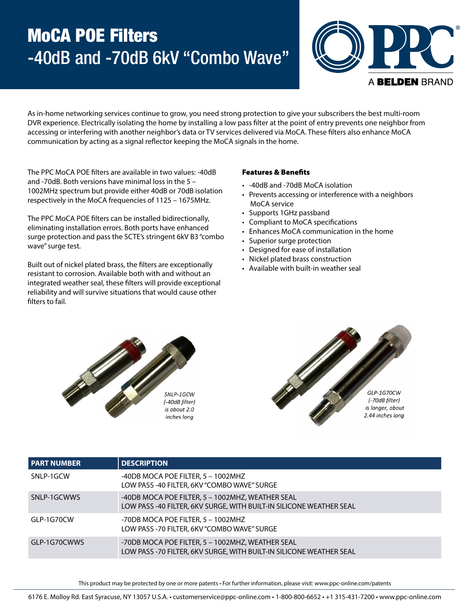# MoCA POE Filters -40dB and -70dB 6kV "Combo Wave"



As in-home networking services continue to grow, you need strong protection to give your subscribers the best multi-room DVR experience. Electrically isolating the home by installing a low pass filter at the point of entry prevents one neighbor from accessing or interfering with another neighbor's data or TV services delivered via MoCA. These filters also enhance MoCA communication by acting as a signal reflector keeping the MoCA signals in the home.

The PPC MoCA POE filters are available in two values: -40dB and -70dB. Both versions have minimal loss in the 5 – 1002MHz spectrum but provide either 40dB or 70dB isolation respectively in the MoCA frequencies of 1125 – 1675MHz.

The PPC MoCA POE filters can be installed bidirectionally, eliminating installation errors. Both ports have enhanced surge protection and pass the SCTE's stringent 6kV B3 "combo wave" surge test.

Built out of nickel plated brass, the filters are exceptionally resistant to corrosion. Available both with and without an integrated weather seal, these filters will provide exceptional reliability and will survive situations that would cause other filters to fail.

#### Features & Benefits

- -40dB and -70dB MoCA isolation
- Prevents accessing or interference with a neighbors MoCA service
- Supports 1GHz passband
- Compliant to MoCA specifications
- Enhances MoCA communication in the home
- Superior surge protection
- Designed for ease of installation
- Nickel plated brass construction
- Available with built-in weather seal





| <b>PART NUMBER</b> | <b>DESCRIPTION</b>                                                                                                      |
|--------------------|-------------------------------------------------------------------------------------------------------------------------|
| SNLP-1GCW          | -40DB MOCA POE FILTER, 5 - 1002MHZ<br>LOW PASS -40 FILTER, 6KV "COMBO WAVE" SURGE                                       |
| SNLP-1GCWWS        | -40DB MOCA POE FILTER, 5 - 1002MHZ, WEATHER SEAL<br>LOW PASS -40 FILTER, 6KV SURGE, WITH BUILT-IN SILICONE WEATHER SEAL |
| GLP-1G70CW         | -70DB MOCA POE FILTER, 5 - 1002MHZ<br>LOW PASS -70 FILTER, 6KV "COMBO WAVE" SURGE                                       |
| GLP-1G70CWWS       | -70DB MOCA POE FILTER, 5 - 1002MHZ, WEATHER SEAL<br>LOW PASS -70 FILTER, 6KV SURGE, WITH BUILT-IN SILICONE WEATHER SEAL |

This product may be protected by one or more patents • For further information, please visit: www.ppc-online.com/patents